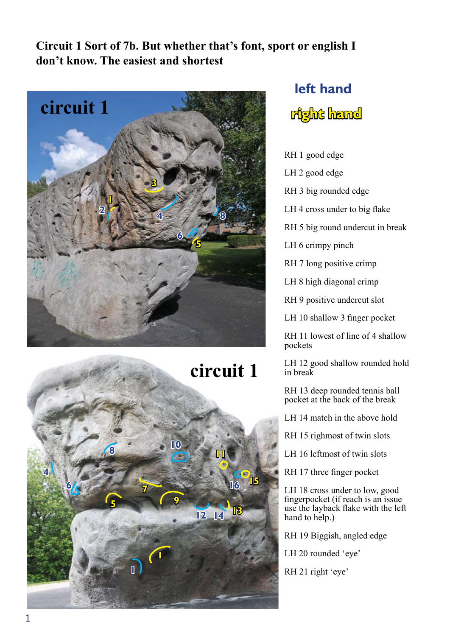**Circuit 1 Sort of 7b. But whether that's font, sport or english I don't know. The easiest and shortest**





# **left hand right hand**

RH 1 good edge

LH 2 good edge

RH 3 big rounded edge

LH 4 cross under to big flake

RH 5 big round undercut in break

LH 6 crimpy pinch

RH 7 long positive crimp

LH 8 high diagonal crimp

RH 9 positive undercut slot

LH 10 shallow 3 finger pocket

RH 11 lowest of line of 4 shallow pockets

LH 12 good shallow rounded hold in break

RH 13 deep rounded tennis ball pocket at the back of the break

LH 14 match in the above hold

RH 15 righmost of twin slots

LH 16 leftmost of twin slots

RH 17 three finger pocket

LH 18 cross under to low, good fingerpocket (if reach is an issue use the layback flake with the left hand to help.)

RH 19 Biggish, angled edge

LH 20 rounded 'eye'

RH 21 right 'eye'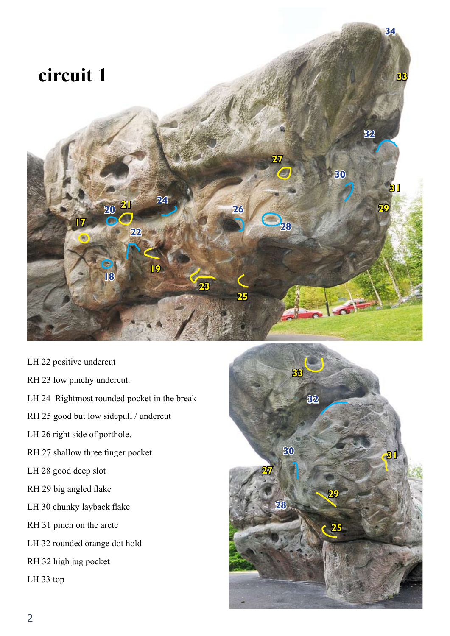

- LH 22 positive undercut
- RH 23 low pinchy undercut.
- LH 24 Rightmost rounded pocket in the break
- RH 25 good but low sidepull / undercut
- LH 26 right side of porthole.
- RH 27 shallow three finger pocket
- LH 28 good deep slot
- RH 29 big angled flake
- LH 30 chunky layback flake
- RH 31 pinch on the arete
- LH 32 rounded orange dot hold
- RH 32 high jug pocket

LH 33 top

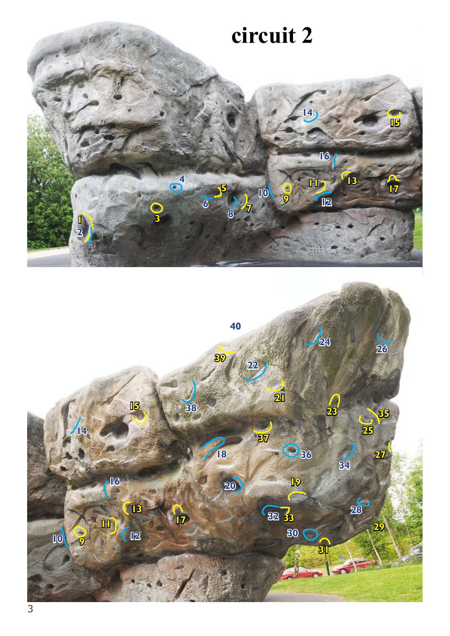

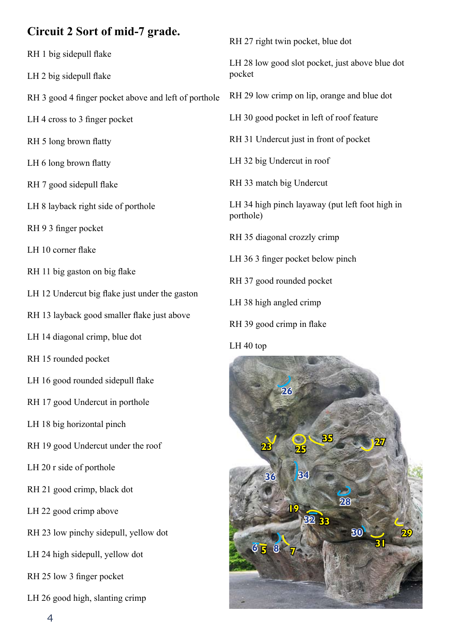### **Circuit 2 Sort of mid-7 grade.**

- RH 1 big sidepull flake
- LH 2 big sidepull flake
- RH 3 good 4 finger pocket above and left of porthole
- LH 4 cross to 3 finger pocket
- RH 5 long brown flatty
- LH 6 long brown flatty
- RH 7 good sidepull flake
- LH 8 layback right side of porthole
- RH 9 3 finger pocket
- LH 10 corner flake
- RH 11 big gaston on big flake
- LH 12 Undercut big flake just under the gaston
- RH 13 layback good smaller flake just above
- LH 14 diagonal crimp, blue dot
- RH 15 rounded pocket
- LH 16 good rounded sidepull flake
- RH 17 good Undercut in porthole
- LH 18 big horizontal pinch
- RH 19 good Undercut under the roof
- LH 20 r side of porthole
- RH 21 good crimp, black dot
- LH 22 good crimp above
- RH 23 low pinchy sidepull, yellow dot
- LH 24 high sidepull, yellow dot
- RH 25 low 3 finger pocket
- LH 26 good high, slanting crimp

RH 27 right twin pocket, blue dot

LH 28 low good slot pocket, just above blue dot pocket

- RH 29 low crimp on lip, orange and blue dot
- LH 30 good pocket in left of roof feature
- RH 31 Undercut just in front of pocket
- LH 32 big Undercut in roof
- RH 33 match big Undercut
- LH 34 high pinch layaway (put left foot high in porthole)
- RH 35 diagonal crozzly crimp
- LH 36 3 finger pocket below pinch
- RH 37 good rounded pocket
- LH 38 high angled crimp
- RH 39 good crimp in flake

#### LH 40 top

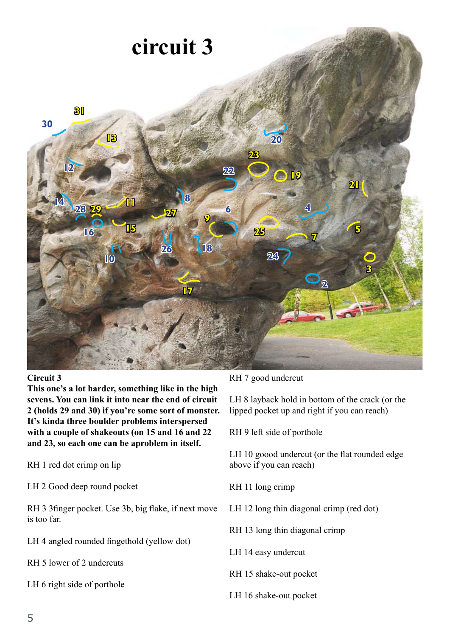

#### **Circuit 3**

**This one's a lot harder, something like in the high sevens. You can link it into near the end of circuit 2 (holds 29 and 30) if you're some sort of monster. It's kinda three boulder problems interspersed with a couple of shakeouts (on 15 and 16 and 22 and 23, so each one can be aproblem in itself.**

RH 1 red dot crimp on lip

LH 2 Good deep round pocket

RH 3 3finger pocket. Use 3b, big flake, if next move is too far.

LH 4 angled rounded fingethold (yellow dot)

RH 5 lower of 2 undercuts

LH 6 right side of porthole

#### RH 7 good undercut

LH 8 layback hold in bottom of the crack (or the lipped pocket up and right if you can reach)

RH 9 left side of porthole

LH 10 goood undercut (or the flat rounded edge above if you can reach)

RH 11 long crimp

LH 12 long thin diagonal crimp (red dot)

RH 13 long thin diagonal crimp

LH 14 easy undercut

RH 15 shake-out pocket

LH 16 shake-out pocket